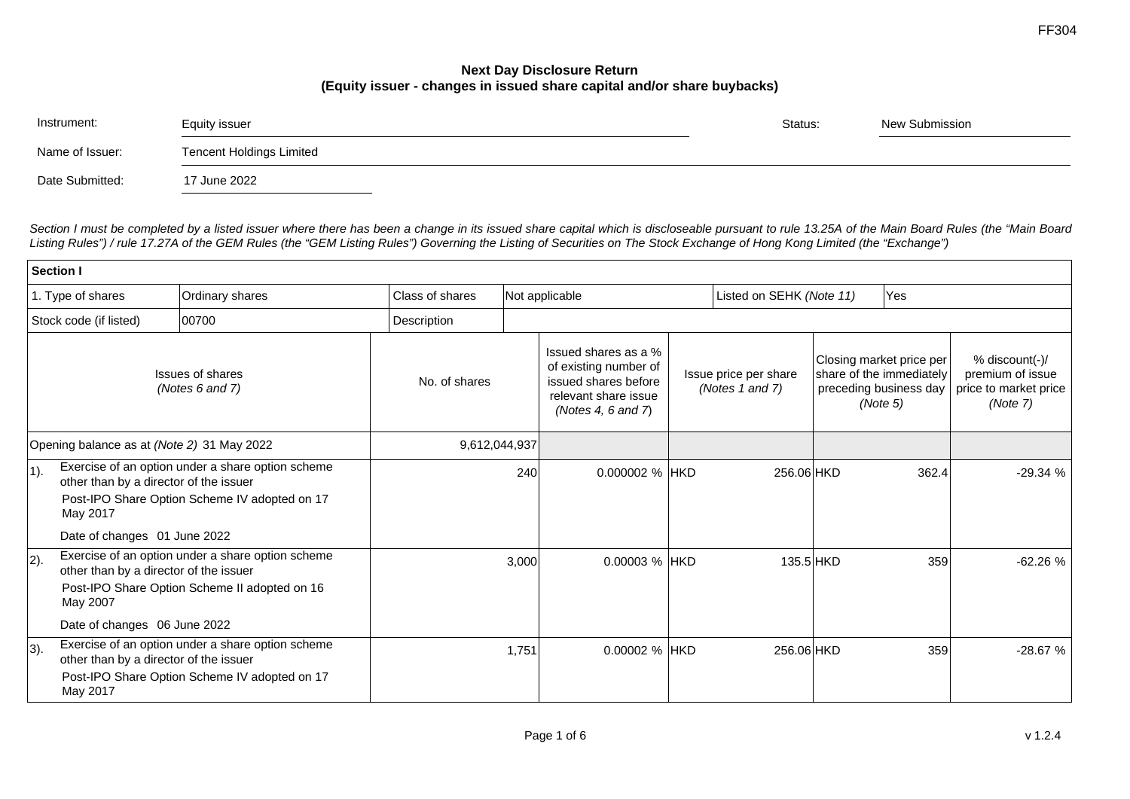## **Next Day Disclosure Return (Equity issuer - changes in issued share capital and/or share buybacks)**

| Instrument:     | Equity issuer                   | Status: | New Submission |  |
|-----------------|---------------------------------|---------|----------------|--|
| Name of Issuer: | <b>Tencent Holdings Limited</b> |         |                |  |
| Date Submitted: | 17 June 2022                    |         |                |  |

*Section I must be completed by a listed issuer where there has been a change in its issued share capital which is discloseable pursuant to rule 13.25A of the Main Board Rules (the "Main Board Listing Rules") / rule 17.27A of the GEM Rules (the "GEM Listing Rules") Governing the Listing of Securities on The Stock Exchange of Hong Kong Limited (the "Exchange")*

| Section I                                  |                                                    |                                                                                                    |                 |                                                                                                                     |                |                                          |            |                                                                                            |                                                                         |           |
|--------------------------------------------|----------------------------------------------------|----------------------------------------------------------------------------------------------------|-----------------|---------------------------------------------------------------------------------------------------------------------|----------------|------------------------------------------|------------|--------------------------------------------------------------------------------------------|-------------------------------------------------------------------------|-----------|
|                                            | 1. Type of shares                                  | Ordinary shares                                                                                    | Class of shares | Not applicable                                                                                                      |                | Listed on SEHK (Note 11)                 |            | Yes                                                                                        |                                                                         |           |
|                                            | Stock code (if listed)                             | 00700                                                                                              | Description     |                                                                                                                     |                |                                          |            |                                                                                            |                                                                         |           |
| <b>Issues of shares</b><br>(Notes 6 and 7) |                                                    | No. of shares                                                                                      |                 | Issued shares as a %<br>of existing number of<br>issued shares before<br>relevant share issue<br>(Notes 4, 6 and 7) |                | Issue price per share<br>(Notes 1 and 7) |            | Closing market price per<br>share of the immediately<br>preceding business day<br>(Note 5) | % discount(-)/<br>premium of issue<br>price to market price<br>(Note 7) |           |
| Opening balance as at (Note 2) 31 May 2022 |                                                    |                                                                                                    |                 | 9,612,044,937                                                                                                       |                |                                          |            |                                                                                            |                                                                         |           |
| $ 1$ ).                                    | other than by a director of the issuer<br>May 2017 | Exercise of an option under a share option scheme<br>Post-IPO Share Option Scheme IV adopted on 17 |                 | 240                                                                                                                 | 0.000002 % HKD |                                          | 256.06 HKD |                                                                                            | 362.4                                                                   | $-29.34%$ |
|                                            | Date of changes 01 June 2022                       |                                                                                                    |                 |                                                                                                                     |                |                                          |            |                                                                                            |                                                                         |           |
| $ 2$ ).                                    | other than by a director of the issuer<br>May 2007 | Exercise of an option under a share option scheme<br>Post-IPO Share Option Scheme II adopted on 16 |                 | 3,000                                                                                                               | 0.00003 % HKD  |                                          | 135.5 HKD  |                                                                                            | 359                                                                     | $-62.26%$ |
|                                            | Date of changes 06 June 2022                       |                                                                                                    |                 |                                                                                                                     |                |                                          |            |                                                                                            |                                                                         |           |
| $ 3)$ .                                    | other than by a director of the issuer<br>May 2017 | Exercise of an option under a share option scheme<br>Post-IPO Share Option Scheme IV adopted on 17 |                 | 1,751                                                                                                               | 0.00002 % HKD  |                                          | 256.06 HKD |                                                                                            | 359                                                                     | $-28.67%$ |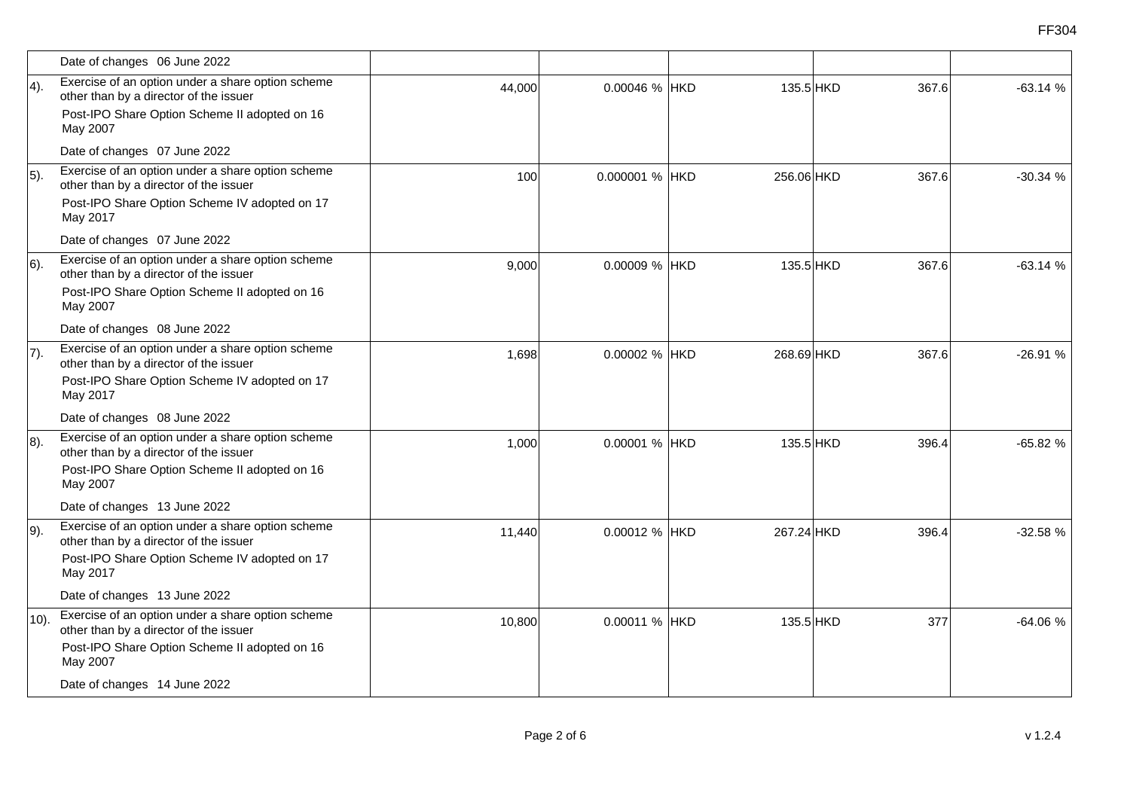|              | Date of changes 06 June 2022                                                                                                                             |        |                |            |                    |           |
|--------------|----------------------------------------------------------------------------------------------------------------------------------------------------------|--------|----------------|------------|--------------------|-----------|
| $ 4$ ).      | Exercise of an option under a share option scheme<br>other than by a director of the issuer<br>Post-IPO Share Option Scheme II adopted on 16             | 44,000 | 0.00046 % HKD  |            | 135.5 HKD<br>367.6 | $-63.14%$ |
|              | May 2007                                                                                                                                                 |        |                |            |                    |           |
|              | Date of changes 07 June 2022                                                                                                                             |        |                |            |                    |           |
| $\vert 5$ ). | Exercise of an option under a share option scheme<br>other than by a director of the issuer                                                              | 100    | 0.000001 % HKD | 256.06 HKD | 367.6              | $-30.34%$ |
|              | Post-IPO Share Option Scheme IV adopted on 17<br>May 2017                                                                                                |        |                |            |                    |           |
|              | Date of changes 07 June 2022                                                                                                                             |        |                |            |                    |           |
| $ 6)$ .      | Exercise of an option under a share option scheme<br>other than by a director of the issuer<br>Post-IPO Share Option Scheme II adopted on 16<br>May 2007 | 9,000  | 0.00009 % HKD  |            | 135.5 HKD<br>367.6 | $-63.14%$ |
|              | Date of changes 08 June 2022                                                                                                                             |        |                |            |                    |           |
| $ 7)$ .      | Exercise of an option under a share option scheme<br>other than by a director of the issuer                                                              | 1,698  | 0.00002 % HKD  | 268.69 HKD | 367.6              | $-26.91%$ |
|              | Post-IPO Share Option Scheme IV adopted on 17<br>May 2017                                                                                                |        |                |            |                    |           |
|              | Date of changes 08 June 2022                                                                                                                             |        |                |            |                    |           |
| $ 8$ ).      | Exercise of an option under a share option scheme<br>other than by a director of the issuer                                                              | 1,000  | 0.00001 % HKD  |            | 135.5 HKD<br>396.4 | $-65.82%$ |
|              | Post-IPO Share Option Scheme II adopted on 16<br>May 2007                                                                                                |        |                |            |                    |           |
|              | Date of changes 13 June 2022                                                                                                                             |        |                |            |                    |           |
| $ 9$ ).      | Exercise of an option under a share option scheme<br>other than by a director of the issuer                                                              | 11,440 | 0.00012 % HKD  | 267.24 HKD | 396.4              | $-32.58%$ |
|              | Post-IPO Share Option Scheme IV adopted on 17<br>May 2017                                                                                                |        |                |            |                    |           |
|              | Date of changes 13 June 2022                                                                                                                             |        |                |            |                    |           |
| $(10)$ .     | Exercise of an option under a share option scheme<br>other than by a director of the issuer                                                              | 10,800 | 0.00011 % HKD  |            | 135.5 HKD<br>377   | $-64.06%$ |
|              | Post-IPO Share Option Scheme II adopted on 16<br>May 2007                                                                                                |        |                |            |                    |           |
|              | Date of changes 14 June 2022                                                                                                                             |        |                |            |                    |           |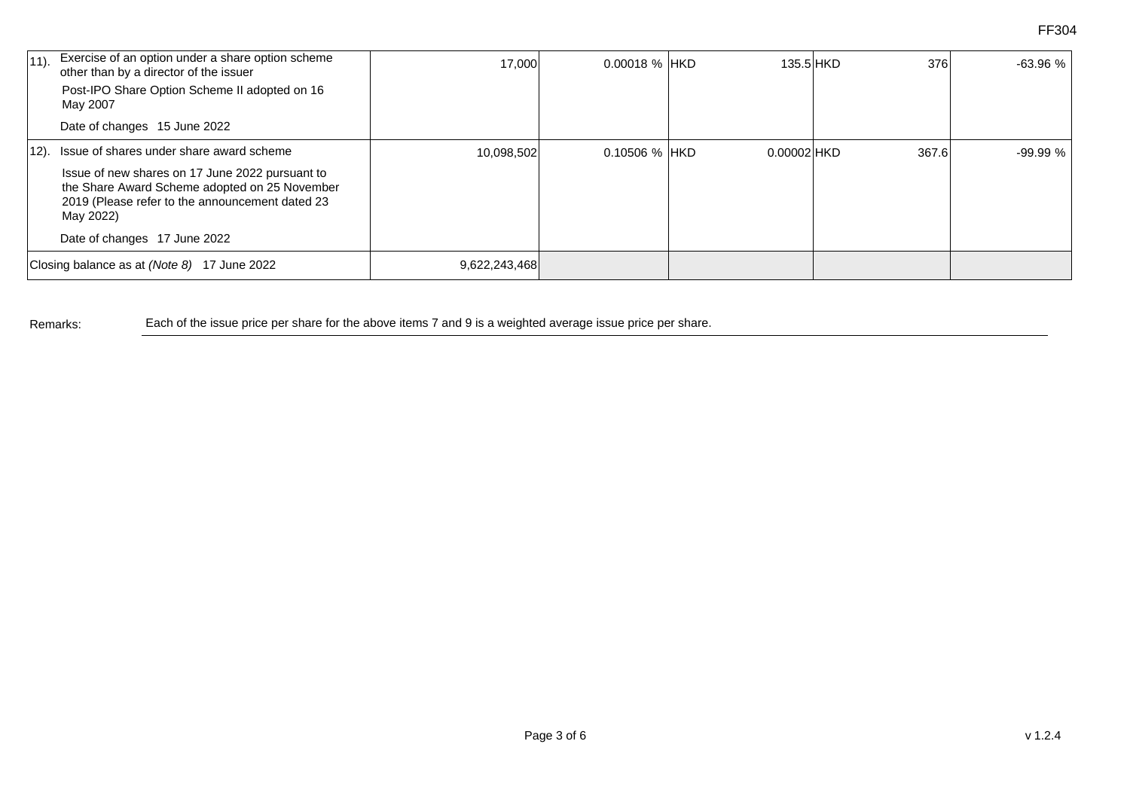| $ 11$ ).                                    | Exercise of an option under a share option scheme<br>other than by a director of the issuer                                                                      | 17,000        | 0.00018 % HKD   | 135.5 HKD     | 376   | $-63.96%$ |
|---------------------------------------------|------------------------------------------------------------------------------------------------------------------------------------------------------------------|---------------|-----------------|---------------|-------|-----------|
|                                             | Post-IPO Share Option Scheme II adopted on 16<br>May 2007                                                                                                        |               |                 |               |       |           |
|                                             | Date of changes 15 June 2022                                                                                                                                     |               |                 |               |       |           |
|                                             | 12). Issue of shares under share award scheme                                                                                                                    | 10,098,502    | $0.10506$ % HKD | $0.00002$ HKD | 367.6 | $-99.99%$ |
|                                             | Issue of new shares on 17 June 2022 pursuant to<br>the Share Award Scheme adopted on 25 November<br>2019 (Please refer to the announcement dated 23<br>May 2022) |               |                 |               |       |           |
|                                             | Date of changes 17 June 2022                                                                                                                                     |               |                 |               |       |           |
| Closing balance as at (Note 8) 17 June 2022 |                                                                                                                                                                  | 9,622,243,468 |                 |               |       |           |

Remarks: Each of the issue price per share for the above items 7 and 9 is a weighted average issue price per share.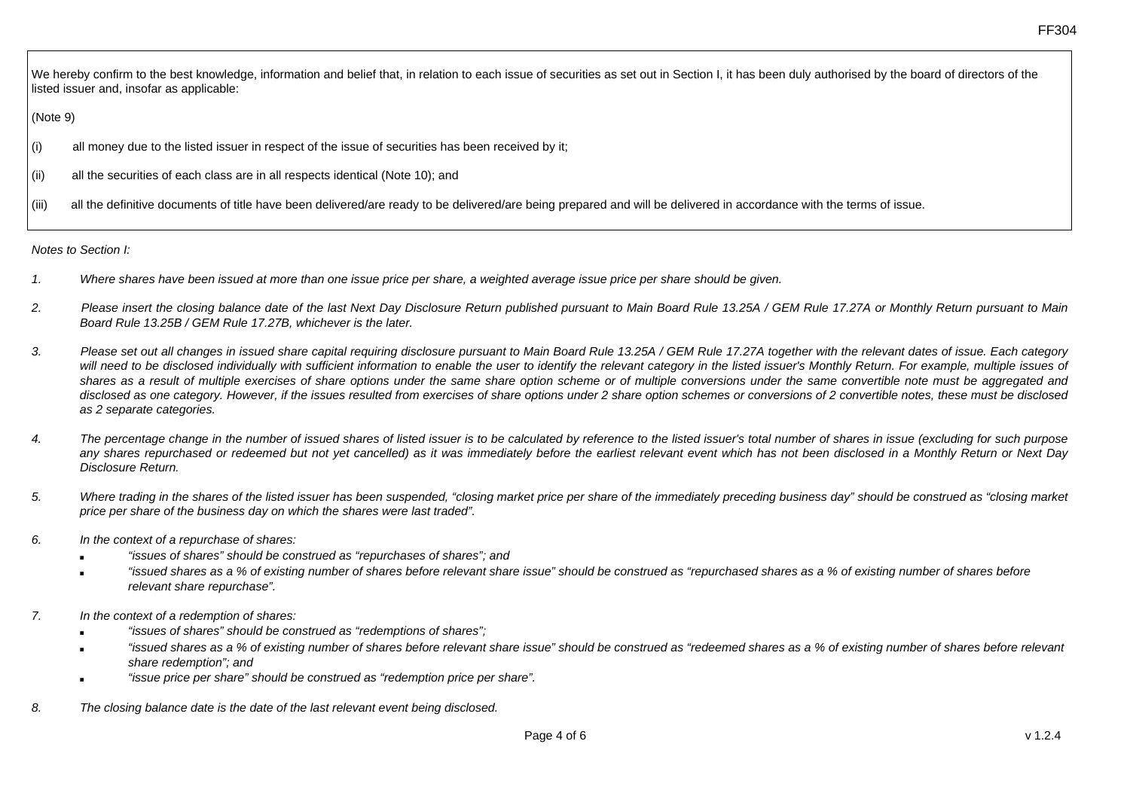We hereby confirm to the best knowledge, information and belief that, in relation to each issue of securities as set out in Section I, it has been duly authorised by the board of directors of the listed issuer and, insofar as applicable:

## (Note 9)

- (i) all money due to the listed issuer in respect of the issue of securities has been received by it;
- (ii) all the securities of each class are in all respects identical (Note 10); and
- (iii) all the definitive documents of title have been delivered/are ready to be delivered/are being prepared and will be delivered in accordance with the terms of issue.

*Notes to Section I:* 

- *1. Where shares have been issued at more than one issue price per share, a weighted average issue price per share should be given.*
- *2. Please insert the closing balance date of the last Next Day Disclosure Return published pursuant to Main Board Rule 13.25A / GEM Rule 17.27A or Monthly Return pursuant to Main Board Rule 13.25B / GEM Rule 17.27B, whichever is the later.*
- *3. Please set out all changes in issued share capital requiring disclosure pursuant to Main Board Rule 13.25A / GEM Rule 17.27A together with the relevant dates of issue. Each category*  will need to be disclosed individually with sufficient information to enable the user to identify the relevant category in the listed issuer's Monthly Return. For example, multiple issues of *shares as a result of multiple exercises of share options under the same share option scheme or of multiple conversions under the same convertible note must be aggregated and disclosed as one category. However, if the issues resulted from exercises of share options under 2 share option schemes or conversions of 2 convertible notes, these must be disclosed as 2 separate categories.*
- *4. The percentage change in the number of issued shares of listed issuer is to be calculated by reference to the listed issuer's total number of shares in issue (excluding for such purpose any shares repurchased or redeemed but not yet cancelled) as it was immediately before the earliest relevant event which has not been disclosed in a Monthly Return or Next Day Disclosure Return.*
- *5. Where trading in the shares of the listed issuer has been suspended, "closing market price per share of the immediately preceding business day" should be construed as "closing market price per share of the business day on which the shares were last traded".*
- *6. In the context of a repurchase of shares:* 
	- "issues of shares" should be construed as "repurchases of shares"; and
	- "issued shares as a % of existing number of shares before relevant share issue" should be construed as "repurchased shares as a % of existing number of shares before *relevant share repurchase".*
- *7. In the context of a redemption of shares:* 
	- *"issues of shares" should be construed as "redemptions of shares";*
	- "issued shares as a % of existing number of shares before relevant share issue" should be construed as "redeemed shares as a % of existing number of shares before relevant *share redemption"; and*
	- "issue price per share" should be construed as "redemption price per share".
- *8. The closing balance date is the date of the last relevant event being disclosed.*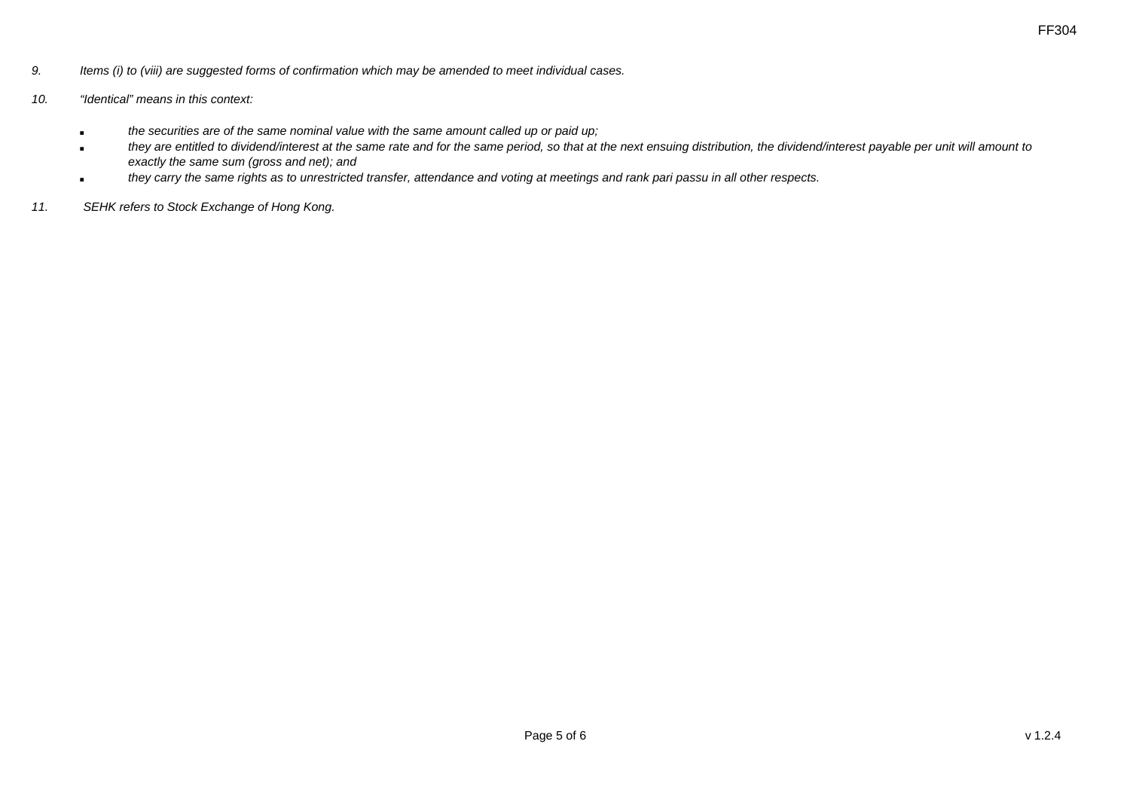- *9. Items (i) to (viii) are suggested forms of confirmation which may be amended to meet individual cases.*
- *10. "Identical" means in this context:* 
	- *the securities are of the same nominal value with the same amount called up or paid up;*
	- *they are entitled to dividend/interest at the same rate and for the same period, so that at the next ensuing distribution, the dividend/interest payable per unit will amount to exactly the same sum (gross and net); and*
	- *they carry the same rights as to unrestricted transfer, attendance and voting at meetings and rank pari passu in all other respects.*
- *11. SEHK refers to Stock Exchange of Hong Kong.*